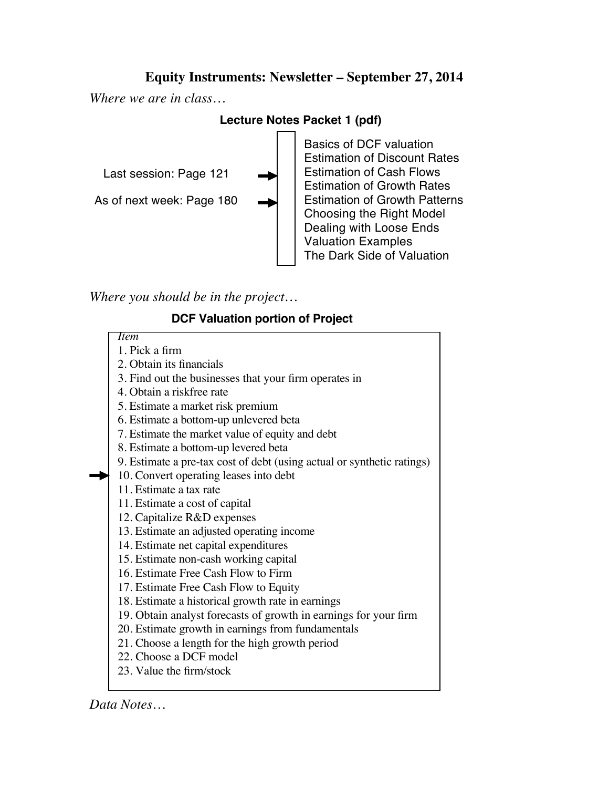## **Equity Instruments: Newsletter – September 27, 2014**

*Where we are in class…*

## **Lecture Notes Packet 1 (pdf)**



*Where you should be in the project…*

## **DCF Valuation portion of Project**



*Data Notes…*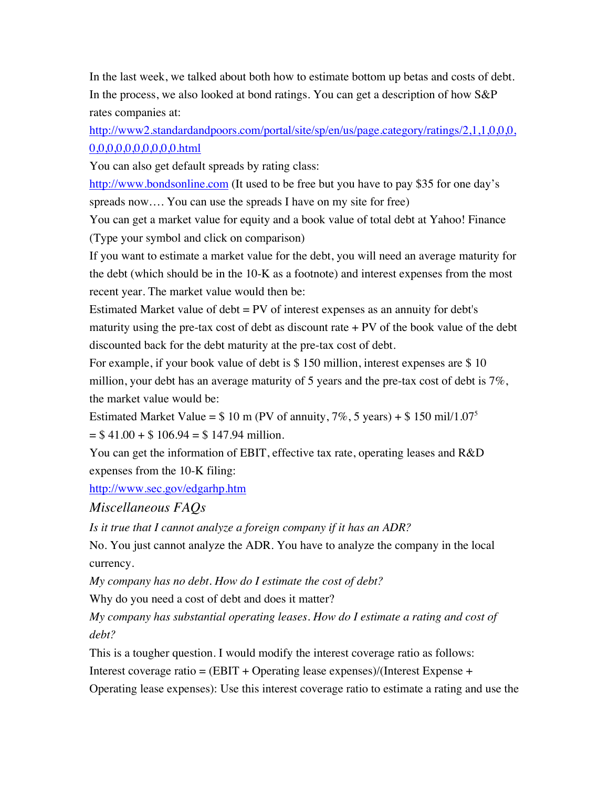In the last week, we talked about both how to estimate bottom up betas and costs of debt. In the process, we also looked at bond ratings. You can get a description of how S&P rates companies at:

http://www2.standardandpoors.com/portal/site/sp/en/us/page.category/ratings/2,1,1,0,0,0, 0,0,0,0,0,0,0,0,0,0.html

You can also get default spreads by rating class:

http://www.bondsonline.com (It used to be free but you have to pay \$35 for one day's spreads now…. You can use the spreads I have on my site for free)

You can get a market value for equity and a book value of total debt at Yahoo! Finance (Type your symbol and click on comparison)

If you want to estimate a market value for the debt, you will need an average maturity for the debt (which should be in the 10-K as a footnote) and interest expenses from the most recent year. The market value would then be:

Estimated Market value of debt = PV of interest expenses as an annuity for debt's maturity using the pre-tax cost of debt as discount rate  $+ PV$  of the book value of the debt discounted back for the debt maturity at the pre-tax cost of debt.

For example, if your book value of debt is \$150 million, interest expenses are \$10 million, your debt has an average maturity of 5 years and the pre-tax cost of debt is  $7\%$ , the market value would be:

Estimated Market Value =  $$10 \text{ m (PV of annuity}, 7\%, 5 \text{ years}) + $150 \text{ mil}/1.07<sup>5</sup>$  $= $41.00 + $106.94 = $147.94$  million.

You can get the information of EBIT, effective tax rate, operating leases and R&D expenses from the 10-K filing:

http://www.sec.gov/edgarhp.htm

*Miscellaneous FAQs*

*Is it true that I cannot analyze a foreign company if it has an ADR?*

No. You just cannot analyze the ADR. You have to analyze the company in the local currency.

*My company has no debt. How do I estimate the cost of debt?*

Why do you need a cost of debt and does it matter?

*My company has substantial operating leases. How do I estimate a rating and cost of debt?*

This is a tougher question. I would modify the interest coverage ratio as follows:

Interest coverage ratio =  $(EBIT + Operating$  lease expenses)/(Interest Expense +

Operating lease expenses): Use this interest coverage ratio to estimate a rating and use the